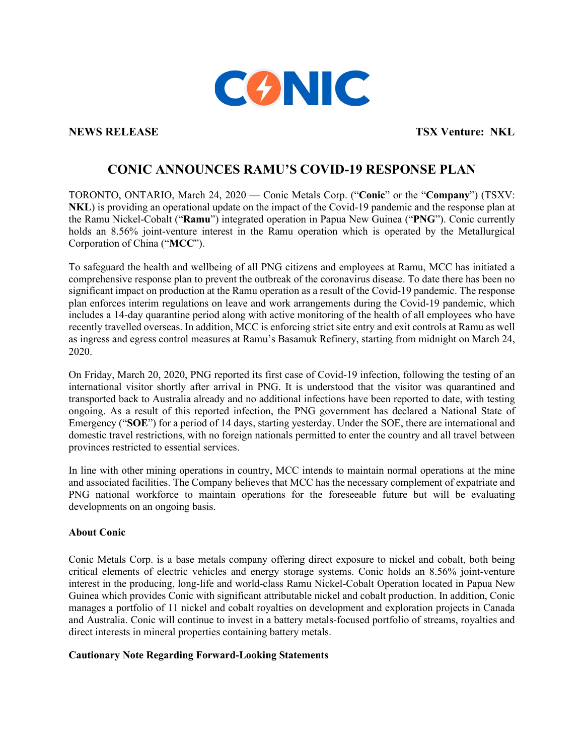

**NEWS RELEASE TSX Venture: NKL** 

## **CONIC ANNOUNCES RAMU'S COVID-19 RESPONSE PLAN**

TORONTO, ONTARIO, March 24, 2020 — Conic Metals Corp. ("**Conic**" or the "**Company**") (TSXV: **NKL**) is providing an operational update on the impact of the Covid-19 pandemic and the response plan at the Ramu Nickel-Cobalt ("**Ramu**") integrated operation in Papua New Guinea ("**PNG**"). Conic currently holds an 8.56% joint-venture interest in the Ramu operation which is operated by the Metallurgical Corporation of China ("**MCC**").

To safeguard the health and wellbeing of all PNG citizens and employees at Ramu, MCC has initiated a comprehensive response plan to prevent the outbreak of the coronavirus disease. To date there has been no significant impact on production at the Ramu operation as a result of the Covid-19 pandemic. The response plan enforces interim regulations on leave and work arrangements during the Covid-19 pandemic, which includes a 14-day quarantine period along with active monitoring of the health of all employees who have recently travelled overseas. In addition, MCC is enforcing strict site entry and exit controls at Ramu as well as ingress and egress control measures at Ramu's Basamuk Refinery, starting from midnight on March 24, 2020.

On Friday, March 20, 2020, PNG reported its first case of Covid-19 infection, following the testing of an international visitor shortly after arrival in PNG. It is understood that the visitor was quarantined and transported back to Australia already and no additional infections have been reported to date, with testing ongoing. As a result of this reported infection, the PNG government has declared a National State of Emergency ("**SOE**") for a period of 14 days, starting yesterday. Under the SOE, there are international and domestic travel restrictions, with no foreign nationals permitted to enter the country and all travel between provinces restricted to essential services.

In line with other mining operations in country, MCC intends to maintain normal operations at the mine and associated facilities. The Company believes that MCC has the necessary complement of expatriate and PNG national workforce to maintain operations for the foreseeable future but will be evaluating developments on an ongoing basis.

## **About Conic**

Conic Metals Corp. is a base metals company offering direct exposure to nickel and cobalt, both being critical elements of electric vehicles and energy storage systems. Conic holds an 8.56% joint-venture interest in the producing, long-life and world-class Ramu Nickel-Cobalt Operation located in Papua New Guinea which provides Conic with significant attributable nickel and cobalt production. In addition, Conic manages a portfolio of 11 nickel and cobalt royalties on development and exploration projects in Canada and Australia. Conic will continue to invest in a battery metals-focused portfolio of streams, royalties and direct interests in mineral properties containing battery metals.

## **Cautionary Note Regarding Forward-Looking Statements**